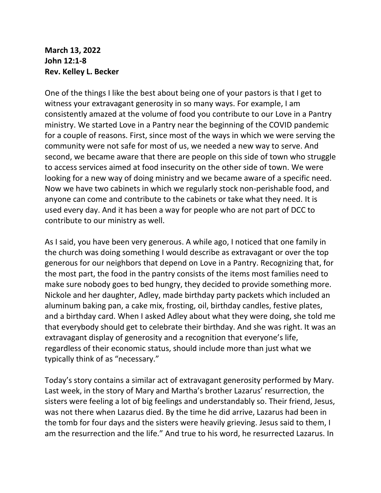## **March 13, 2022 John 12:1-8 Rev. Kelley L. Becker**

One of the things I like the best about being one of your pastors is that I get to witness your extravagant generosity in so many ways. For example, I am consistently amazed at the volume of food you contribute to our Love in a Pantry ministry. We started Love in a Pantry near the beginning of the COVID pandemic for a couple of reasons. First, since most of the ways in which we were serving the community were not safe for most of us, we needed a new way to serve. And second, we became aware that there are people on this side of town who struggle to access services aimed at food insecurity on the other side of town. We were looking for a new way of doing ministry and we became aware of a specific need. Now we have two cabinets in which we regularly stock non-perishable food, and anyone can come and contribute to the cabinets or take what they need. It is used every day. And it has been a way for people who are not part of DCC to contribute to our ministry as well.

As I said, you have been very generous. A while ago, I noticed that one family in the church was doing something I would describe as extravagant or over the top generous for our neighbors that depend on Love in a Pantry. Recognizing that, for the most part, the food in the pantry consists of the items most families need to make sure nobody goes to bed hungry, they decided to provide something more. Nickole and her daughter, Adley, made birthday party packets which included an aluminum baking pan, a cake mix, frosting, oil, birthday candles, festive plates, and a birthday card. When I asked Adley about what they were doing, she told me that everybody should get to celebrate their birthday. And she was right. It was an extravagant display of generosity and a recognition that everyone's life, regardless of their economic status, should include more than just what we typically think of as "necessary."

Today's story contains a similar act of extravagant generosity performed by Mary. Last week, in the story of Mary and Martha's brother Lazarus' resurrection, the sisters were feeling a lot of big feelings and understandably so. Their friend, Jesus, was not there when Lazarus died. By the time he did arrive, Lazarus had been in the tomb for four days and the sisters were heavily grieving. Jesus said to them, I am the resurrection and the life." And true to his word, he resurrected Lazarus. In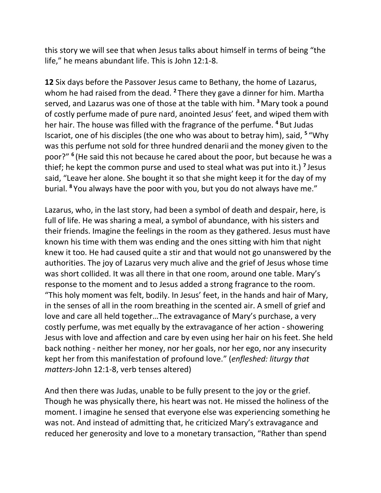this story we will see that when Jesus talks about himself in terms of being "the life," he means abundant life. This is John 12:1-8.

**12** Six days before the Passover Jesus came to Bethany, the home of Lazarus, whom he had raised from the dead. **<sup>2</sup>** There they gave a dinner for him. Martha served, and Lazarus was one of those at the table with him. **<sup>3</sup>**Mary took a pound of costly perfume made of pure nard, anointed Jesus' feet, and wiped them with her hair. The house was filled with the fragrance of the perfume. **<sup>4</sup>** But Judas Iscariot, one of his disciples (the one who was about to betray him), said, **<sup>5</sup>** "Why was this perfume not sold for three hundred denarii and the money given to the poor?" **<sup>6</sup>** (He said this not because he cared about the poor, but because he was a thief; he kept the common purse and used to steal what was put into it.) **<sup>7</sup>** Jesus said, "Leave her alone. She bought it so that she might keep it for the day of my burial. **<sup>8</sup>** You always have the poor with you, but you do not always have me."

Lazarus, who, in the last story, had been a symbol of death and despair, here, is full of life. He was sharing a meal, a symbol of abundance, with his sisters and their friends. Imagine the feelings in the room as they gathered. Jesus must have known his time with them was ending and the ones sitting with him that night knew it too. He had caused quite a stir and that would not go unanswered by the authorities. The joy of Lazarus very much alive and the grief of Jesus whose time was short collided. It was all there in that one room, around one table. Mary's response to the moment and to Jesus added a strong fragrance to the room. "This holy moment was felt, bodily. In Jesus' feet, in the hands and hair of Mary, in the senses of all in the room breathing in the scented air. A smell of grief and love and care all held together…The extravagance of Mary's purchase, a very costly perfume, was met equally by the extravagance of her action - showering Jesus with love and affection and care by even using her hair on his feet. She held back nothing - neither her money, nor her goals, nor her ego, nor any insecurity kept her from this manifestation of profound love." (*enfleshed: liturgy that matters*-John 12:1-8, verb tenses altered)

And then there was Judas, unable to be fully present to the joy or the grief. Though he was physically there, his heart was not. He missed the holiness of the moment. I imagine he sensed that everyone else was experiencing something he was not. And instead of admitting that, he criticized Mary's extravagance and reduced her generosity and love to a monetary transaction, "Rather than spend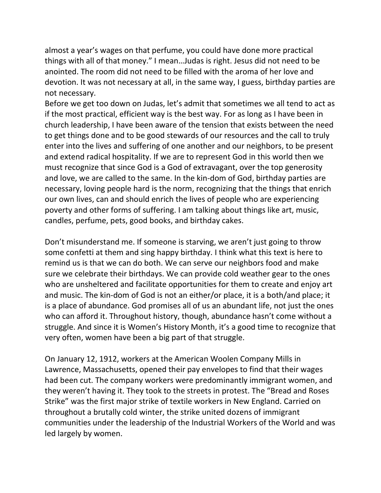almost a year's wages on that perfume, you could have done more practical things with all of that money." I mean…Judas is right. Jesus did not need to be anointed. The room did not need to be filled with the aroma of her love and devotion. It was not necessary at all, in the same way, I guess, birthday parties are not necessary.

Before we get too down on Judas, let's admit that sometimes we all tend to act as if the most practical, efficient way is the best way. For as long as I have been in church leadership, I have been aware of the tension that exists between the need to get things done and to be good stewards of our resources and the call to truly enter into the lives and suffering of one another and our neighbors, to be present and extend radical hospitality. If we are to represent God in this world then we must recognize that since God is a God of extravagant, over the top generosity and love, we are called to the same. In the kin-dom of God, birthday parties are necessary, loving people hard is the norm, recognizing that the things that enrich our own lives, can and should enrich the lives of people who are experiencing poverty and other forms of suffering. I am talking about things like art, music, candles, perfume, pets, good books, and birthday cakes.

Don't misunderstand me. If someone is starving, we aren't just going to throw some confetti at them and sing happy birthday. I think what this text is here to remind us is that we can do both. We can serve our neighbors food and make sure we celebrate their birthdays. We can provide cold weather gear to the ones who are unsheltered and facilitate opportunities for them to create and enjoy art and music. The kin-dom of God is not an either/or place, it is a both/and place; it is a place of abundance. God promises all of us an abundant life, not just the ones who can afford it. Throughout history, though, abundance hasn't come without a struggle. And since it is Women's History Month, it's a good time to recognize that very often, women have been a big part of that struggle.

On January 12, 1912, workers at the American Woolen Company Mills in Lawrence, Massachusetts, opened their pay envelopes to find that their wages had been cut. The company workers were predominantly immigrant women, and they weren't having it. They took to the streets in protest. The "Bread and Roses Strike" was the first major strike of textile workers in New England. Carried on throughout a brutally cold winter, the strike united dozens of immigrant communities under the leadership of the Industrial Workers of the World and was led largely by women.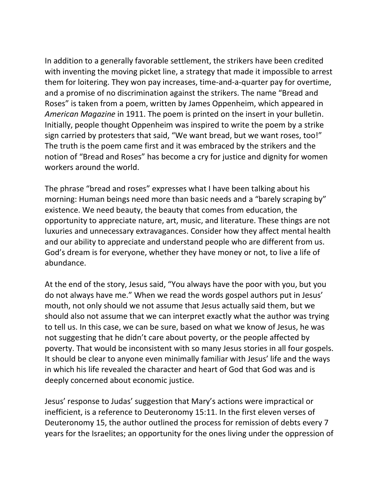In addition to a generally favorable settlement, the strikers have been credited with inventing the moving picket line, a strategy that made it impossible to arrest them for loitering. They won pay increases, time-and-a-quarter pay for overtime, and a promise of no discrimination against the strikers. The name "Bread and Roses" is taken from a poem, written by James Oppenheim, which appeared in *American Magazine* in 1911. The poem is printed on the insert in your bulletin. Initially, people thought Oppenheim was inspired to write the poem by a strike sign carried by protesters that said, "We want bread, but we want roses, too!" The truth is the poem came first and it was embraced by the strikers and the notion of "Bread and Roses" has become a cry for justice and dignity for women workers around the world.

The phrase "bread and roses" expresses what I have been talking about his morning: Human beings need more than basic needs and a "barely scraping by" existence. We need beauty, the beauty that comes from education, the opportunity to appreciate nature, art, music, and literature. These things are not luxuries and unnecessary extravagances. Consider how they affect mental health and our ability to appreciate and understand people who are different from us. God's dream is for everyone, whether they have money or not, to live a life of abundance.

At the end of the story, Jesus said, "You always have the poor with you, but you do not always have me." When we read the words gospel authors put in Jesus' mouth, not only should we not assume that Jesus actually said them, but we should also not assume that we can interpret exactly what the author was trying to tell us. In this case, we can be sure, based on what we know of Jesus, he was not suggesting that he didn't care about poverty, or the people affected by poverty. That would be inconsistent with so many Jesus stories in all four gospels. It should be clear to anyone even minimally familiar with Jesus' life and the ways in which his life revealed the character and heart of God that God was and is deeply concerned about economic justice.

Jesus' response to Judas' suggestion that Mary's actions were impractical or inefficient, is a reference to Deuteronomy 15:11. In the first eleven verses of Deuteronomy 15, the author outlined the process for remission of debts every 7 years for the Israelites; an opportunity for the ones living under the oppression of